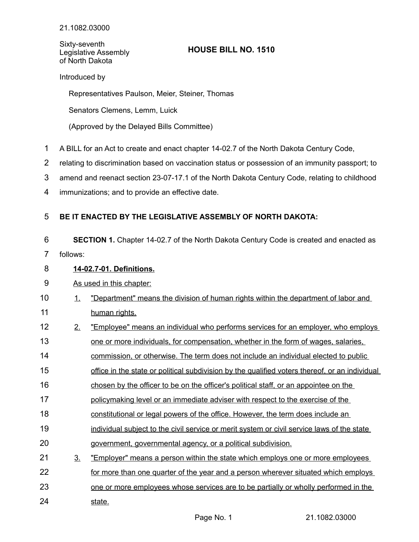Sixty-seventh Legislative Assembly of North Dakota

# **HOUSE BILL NO. 1510**

Introduced by

Representatives Paulson, Meier, Steiner, Thomas

Senators Clemens, Lemm, Luick

(Approved by the Delayed Bills Committee)

- A BILL for an Act to create and enact chapter 14-02.7 of the North Dakota Century Code, 1
- relating to discrimination based on vaccination status or possession of an immunity passport; to 2
- amend and reenact section 23-07-17.1 of the North Dakota Century Code, relating to childhood 3
- immunizations; and to provide an effective date. 4

### **BE IT ENACTED BY THE LEGISLATIVE ASSEMBLY OF NORTH DAKOTA:** 5

**SECTION 1.** Chapter 14-02.7 of the North Dakota Century Code is created and enacted as 6 7

follows:

## **14 - 02.7 - 01. Definitions.** 8

### As used in this chapter: 9

- 1. "Department" means the division of human rights within the department of labor and human rights. 10 11
- 2. "Employee" means an individual who performs services for an employer, who employs 12
- one or more individuals, for compensation, whether in the form of wages, salaries, 13
- commission, or otherwise. The term does not include an individual elected to public 14
- office in the state or political subdivision by the qualified voters thereof, or an individual 15
- chosen by the officer to be on the officer's political staff, or an appointee on the 16
- policymaking level or an immediate adviser with respect to the exercise of the 17
- constitutional or legal powers of the office. However, the term does include an 18
- individual subject to the civil service or merit system or civil service laws of the state 19
- government, governmental agency, or a political subdivision. 20
- 3. "Employer" means a person within the state which employs one or more employees 21
- for more than one quarter of the year and a person wherever situated which employs 22
- one or more employees whose services are to be partially or wholly performed in the 23
- state. 24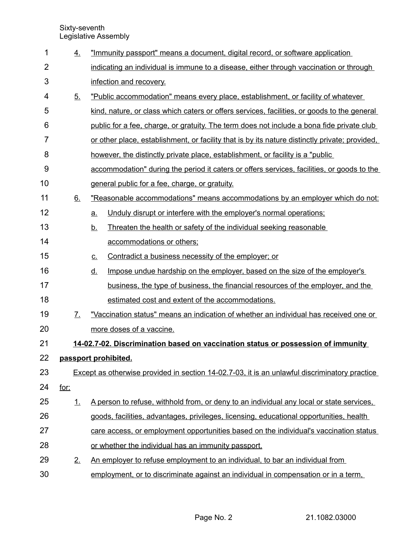Sixty-seventh Legislative Assembly

| 1              | 4.                                                                               |                                                                                               | "Immunity passport" means a document, digital record, or software application                  |  |
|----------------|----------------------------------------------------------------------------------|-----------------------------------------------------------------------------------------------|------------------------------------------------------------------------------------------------|--|
| $\overline{2}$ |                                                                                  |                                                                                               | indicating an individual is immune to a disease, either through vaccination or through         |  |
| 3              |                                                                                  |                                                                                               | infection and recovery.                                                                        |  |
| 4              | 5.                                                                               |                                                                                               | "Public accommodation" means every place, establishment, or facility of whatever               |  |
| 5              |                                                                                  |                                                                                               | kind, nature, or class which caters or offers services, facilities, or goods to the general    |  |
| 6              |                                                                                  |                                                                                               | public for a fee, charge, or gratuity. The term does not include a bona fide private club      |  |
| $\overline{7}$ |                                                                                  |                                                                                               | or other place, establishment, or facility that is by its nature distinctly private; provided, |  |
| 8              |                                                                                  |                                                                                               | however, the distinctly private place, establishment, or facility is a "public"                |  |
| 9              |                                                                                  |                                                                                               | accommodation" during the period it caters or offers services, facilities, or goods to the     |  |
| 10             |                                                                                  |                                                                                               | general public for a fee, charge, or gratuity.                                                 |  |
| 11             | 6.                                                                               |                                                                                               | "Reasonable accommodations" means accommodations by an employer which do not:                  |  |
| 12             |                                                                                  | a.                                                                                            | Unduly disrupt or interfere with the employer's normal operations;                             |  |
| 13             |                                                                                  | <u>b.</u>                                                                                     | Threaten the health or safety of the individual seeking reasonable                             |  |
| 14             |                                                                                  |                                                                                               | accommodations or others;                                                                      |  |
| 15             |                                                                                  | <u>c.</u>                                                                                     | Contradict a business necessity of the employer; or                                            |  |
| 16             |                                                                                  | <u>d.</u>                                                                                     | Impose undue hardship on the employer, based on the size of the employer's                     |  |
| 17             |                                                                                  |                                                                                               | business, the type of business, the financial resources of the employer, and the               |  |
| 18             |                                                                                  |                                                                                               | estimated cost and extent of the accommodations.                                               |  |
| 19             | 7.                                                                               |                                                                                               | "Vaccination status" means an indication of whether an individual has received one or          |  |
| 20             |                                                                                  |                                                                                               | more doses of a vaccine.                                                                       |  |
| 21             | 14-02.7-02. Discrimination based on vaccination status or possession of immunity |                                                                                               |                                                                                                |  |
| 22             | passport prohibited.                                                             |                                                                                               |                                                                                                |  |
| 23             |                                                                                  | Except as otherwise provided in section 14-02.7-03, it is an unlawful discriminatory practice |                                                                                                |  |
| 24             | <u>for:</u>                                                                      |                                                                                               |                                                                                                |  |
| 25             | 1.                                                                               |                                                                                               | A person to refuse, withhold from, or deny to an individual any local or state services,       |  |
| 26             |                                                                                  |                                                                                               | goods, facilities, advantages, privileges, licensing, educational opportunities, health        |  |
| 27             |                                                                                  |                                                                                               | care access, or employment opportunities based on the individual's vaccination status          |  |
| 28             |                                                                                  |                                                                                               | or whether the individual has an immunity passport.                                            |  |
| 29             | 2.                                                                               |                                                                                               | An employer to refuse employment to an individual, to bar an individual from                   |  |
| 30             |                                                                                  |                                                                                               | employment, or to discriminate against an individual in compensation or in a term,             |  |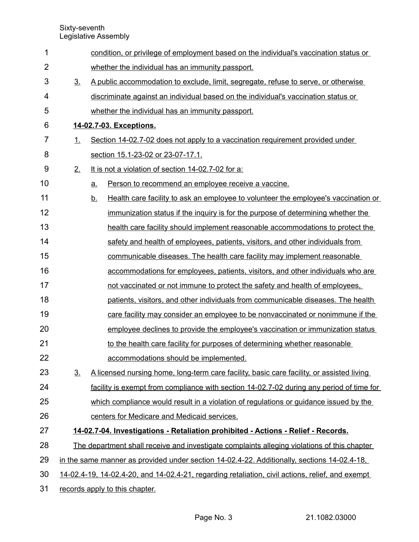Sixty-seventh Legislative Assembly

| 1              |                                                                                                  | condition, or privilege of employment based on the individual's vaccination status or           |  |  |
|----------------|--------------------------------------------------------------------------------------------------|-------------------------------------------------------------------------------------------------|--|--|
| $\overline{2}$ |                                                                                                  | whether the individual has an immunity passport.                                                |  |  |
| 3              | 3 <sub>1</sub>                                                                                   | A public accommodation to exclude, limit, segregate, refuse to serve, or otherwise              |  |  |
| 4              |                                                                                                  | discriminate against an individual based on the individual's vaccination status or              |  |  |
| 5              |                                                                                                  | whether the individual has an immunity passport.                                                |  |  |
| 6              | 14-02.7-03. Exceptions.                                                                          |                                                                                                 |  |  |
| 7              | $\perp$                                                                                          | Section 14-02.7-02 does not apply to a vaccination requirement provided under                   |  |  |
| 8              |                                                                                                  | section 15.1-23-02 or 23-07-17.1.                                                               |  |  |
| 9              | 2.                                                                                               | It is not a violation of section 14-02.7-02 for a:                                              |  |  |
| 10             |                                                                                                  | Person to recommend an employee receive a vaccine.<br>a.                                        |  |  |
| 11             |                                                                                                  | Health care facility to ask an employee to volunteer the employee's vaccination or<br><u>b.</u> |  |  |
| 12             |                                                                                                  | immunization status if the inquiry is for the purpose of determining whether the                |  |  |
| 13             |                                                                                                  | health care facility should implement reasonable accommodations to protect the                  |  |  |
| 14             |                                                                                                  | safety and health of employees, patients, visitors, and other individuals from                  |  |  |
| 15             |                                                                                                  | communicable diseases. The health care facility may implement reasonable                        |  |  |
| 16             |                                                                                                  | accommodations for employees, patients, visitors, and other individuals who are                 |  |  |
| 17             |                                                                                                  | not vaccinated or not immune to protect the safety and health of employees,                     |  |  |
| 18             |                                                                                                  | patients, visitors, and other individuals from communicable diseases. The health                |  |  |
| 19             |                                                                                                  | care facility may consider an employee to be nonvaccinated or nonimmune if the                  |  |  |
| 20             |                                                                                                  | employee declines to provide the employee's vaccination or immunization status                  |  |  |
| 21             |                                                                                                  | to the health care facility for purposes of determining whether reasonable                      |  |  |
| 22             |                                                                                                  | accommodations should be implemented.                                                           |  |  |
| 23             | 3 <sub>1</sub>                                                                                   | A licensed nursing home, long-term care facility, basic care facility, or assisted living       |  |  |
| 24             |                                                                                                  | facility is exempt from compliance with section 14-02.7-02 during any period of time for        |  |  |
| 25             |                                                                                                  | which compliance would result in a violation of regulations or guidance issued by the           |  |  |
| 26             |                                                                                                  | centers for Medicare and Medicaid services.                                                     |  |  |
| 27             | 14-02.7-04. Investigations - Retaliation prohibited - Actions - Relief - Records.                |                                                                                                 |  |  |
| 28             | The department shall receive and investigate complaints alleging violations of this chapter      |                                                                                                 |  |  |
| 29             | in the same manner as provided under section 14-02.4-22. Additionally, sections 14-02.4-18,      |                                                                                                 |  |  |
| 30             | 14-02.4-19, 14-02.4-20, and 14-02.4-21, regarding retaliation, civil actions, relief, and exempt |                                                                                                 |  |  |

records apply to this chapter. 31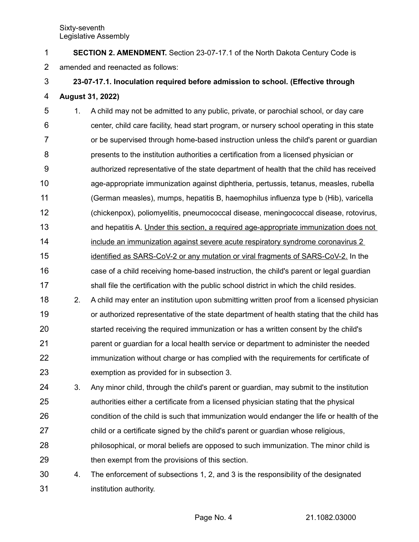**SECTION 2. AMENDMENT.** Section 23-07-17.1 of the North Dakota Century Code is amended and reenacted as follows: 1 2

# **23-07-17.1. Inoculation required before admission to school. (Effective through August 31, 2022)** 3 4

- 1. A child may not be admitted to any public, private, or parochial school, or day care center, child care facility, head start program, or nursery school operating in this state or be supervised through home-based instruction unless the child's parent or guardian presents to the institution authorities a certification from a licensed physician or authorized representative of the state department of health that the child has received age-appropriate immunization against diphtheria, pertussis, tetanus, measles, rubella (German measles), mumps, hepatitis B, haemophilus influenza type b (Hib), varicella (chickenpox), poliomyelitis, pneumococcal disease, meningococcal disease, rotovirus, and hepatitis A. Under this section, a required age-appropriate immunization does not include an immunization against severe acute respiratory syndrome coronavirus 2 identified as SARS-CoV-2 or any mutation or viral fragments of SARS-CoV-2. In the case of a child receiving home-based instruction, the child's parent or legal guardian 5 6 7 8 9 10 11 12 13 14 15 16
- shall file the certification with the public school district in which the child resides. 17
- 2. A child may enter an institution upon submitting written proof from a licensed physician or authorized representative of the state department of health stating that the child has started receiving the required immunization or has a written consent by the child's parent or guardian for a local health service or department to administer the needed immunization without charge or has complied with the requirements for certificate of exemption as provided for in subsection 3. 18 19 20 21 22 23
- 3. Any minor child, through the child's parent or guardian, may submit to the institution authorities either a certificate from a licensed physician stating that the physical condition of the child is such that immunization would endanger the life or health of the child or a certificate signed by the child's parent or guardian whose religious, philosophical, or moral beliefs are opposed to such immunization. The minor child is 24 25 26 27 28
- then exempt from the provisions of this section. 29
- 4. The enforcement of subsections 1, 2, and 3 is the responsibility of the designated institution authority. 30 31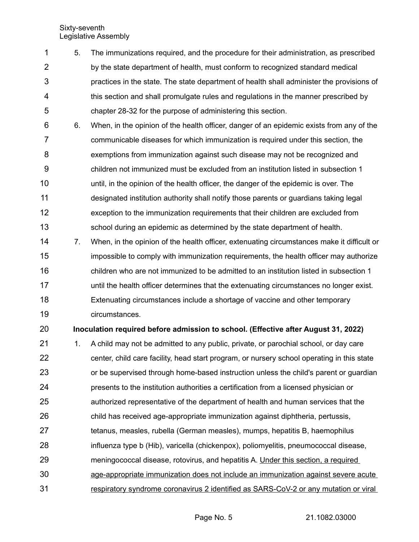Sixty-seventh Legislative Assembly

- 5. The immunizations required, and the procedure for their administration, as prescribed by the state department of health, must conform to recognized standard medical practices in the state. The state department of health shall administer the provisions of this section and shall promulgate rules and regulations in the manner prescribed by chapter 28-32 for the purpose of administering this section. 1 2 3 4 5
- 6. When, in the opinion of the health officer, danger of an epidemic exists from any of the communicable diseases for which immunization is required under this section, the exemptions from immunization against such disease may not be recognized and children not immunized must be excluded from an institution listed in subsection 1 until, in the opinion of the health officer, the danger of the epidemic is over. The designated institution authority shall notify those parents or guardians taking legal exception to the immunization requirements that their children are excluded from school during an epidemic as determined by the state department of health. 6 7 8 9 10 11 12 13
- 7. When, in the opinion of the health officer, extenuating circumstances make it difficult or impossible to comply with immunization requirements, the health officer may authorize children who are not immunized to be admitted to an institution listed in subsection 1 until the health officer determines that the extenuating circumstances no longer exist. Extenuating circumstances include a shortage of vaccine and other temporary circumstances. 14 15 16 17 18 19

**Inoculation required before admission to school. (Effective after August 31, 2022)** 20

1. A child may not be admitted to any public, private, or parochial school, or day care center, child care facility, head start program, or nursery school operating in this state or be supervised through home-based instruction unless the child's parent or guardian presents to the institution authorities a certification from a licensed physician or authorized representative of the department of health and human services that the child has received age-appropriate immunization against diphtheria, pertussis, tetanus, measles, rubella (German measles), mumps, hepatitis B, haemophilus influenza type b (Hib), varicella (chickenpox), poliomyelitis, pneumococcal disease, meningococcal disease, rotovirus, and hepatitis A. Under this section, a required age-appropriate immunization does not include an immunization against severe acute respiratory syndrome coronavirus 2 identified as SARS-CoV-2 or any mutation or viral 21 22 23 24 25 26 27 28 29 30 31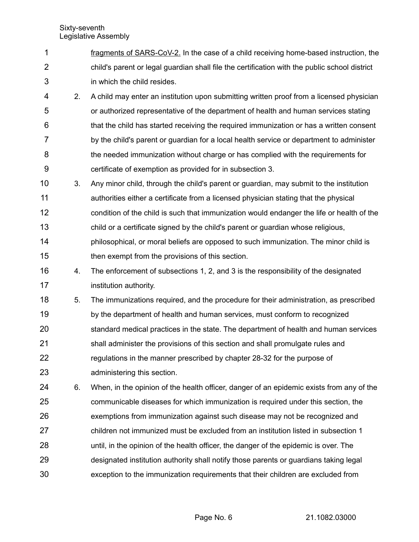- fragments of SARS-CoV-2. In the case of a child receiving home-based instruction, the child's parent or legal guardian shall file the certification with the public school district in which the child resides. 1 2 3
- 2. A child may enter an institution upon submitting written proof from a licensed physician or authorized representative of the department of health and human services stating that the child has started receiving the required immunization or has a written consent by the child's parent or guardian for a local health service or department to administer the needed immunization without charge or has complied with the requirements for certificate of exemption as provided for in subsection 3. 4 5 6 7 8 9
- 3. Any minor child, through the child's parent or guardian, may submit to the institution authorities either a certificate from a licensed physician stating that the physical condition of the child is such that immunization would endanger the life or health of the child or a certificate signed by the child's parent or guardian whose religious, philosophical, or moral beliefs are opposed to such immunization. The minor child is then exempt from the provisions of this section. 10 11 12 13 14 15
- 4. The enforcement of subsections 1, 2, and 3 is the responsibility of the designated institution authority. 16 17
- 5. The immunizations required, and the procedure for their administration, as prescribed by the department of health and human services, must conform to recognized standard medical practices in the state. The department of health and human services shall administer the provisions of this section and shall promulgate rules and regulations in the manner prescribed by chapter 28-32 for the purpose of administering this section. 18 19 20 21 22 23
- 6. When, in the opinion of the health officer, danger of an epidemic exists from any of the communicable diseases for which immunization is required under this section, the exemptions from immunization against such disease may not be recognized and children not immunized must be excluded from an institution listed in subsection 1 until, in the opinion of the health officer, the danger of the epidemic is over. The designated institution authority shall notify those parents or guardians taking legal exception to the immunization requirements that their children are excluded from 24 25 26 27 28 29 30